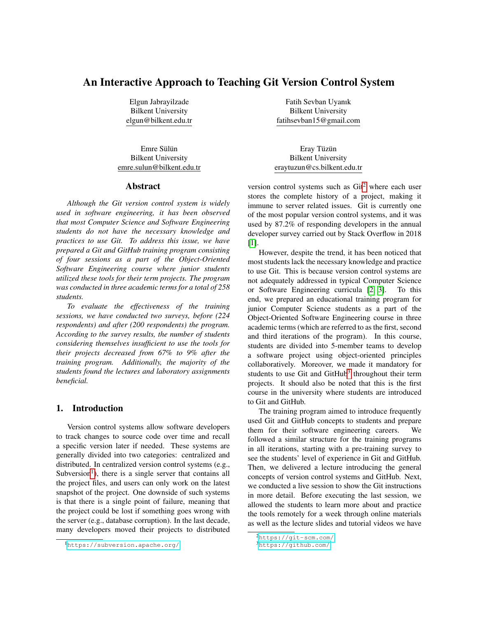# An Interactive Approach to Teaching Git Version Control System

Elgun Jabrayilzade Bilkent University elgun@bilkent.edu.tr

Emre Sülün Bilkent University emre.sulun@bilkent.edu.tr

### Abstract

*Although the Git version control system is widely used in software engineering, it has been observed that most Computer Science and Software Engineering students do not have the necessary knowledge and practices to use Git. To address this issue, we have prepared a Git and GitHub training program consisting of four sessions as a part of the Object-Oriented Software Engineering course where junior students utilized these tools for their term projects. The program was conducted in three academic terms for a total of 258 students.*

*To evaluate the effectiveness of the training sessions, we have conducted two surveys, before (224 respondents) and after (200 respondents) the program. According to the survey results, the number of students considering themselves insufficient to use the tools for their projects decreased from 67% to 9% after the training program. Additionally, the majority of the students found the lectures and laboratory assignments beneficial.*

## 1. Introduction

Version control systems allow software developers to track changes to source code over time and recall a specific version later if needed. These systems are generally divided into two categories: centralized and distributed. In centralized version control systems (e.g., Subversion<sup>[1](#page-0-0)</sup>), there is a single server that contains all the project files, and users can only work on the latest snapshot of the project. One downside of such systems is that there is a single point of failure, meaning that the project could be lost if something goes wrong with the server (e.g., database corruption). In the last decade, many developers moved their projects to distributed

Fatih Sevban Uyanık Bilkent University fatihsevban15@gmail.com

Eray Tüzün Bilkent University eraytuzun@cs.bilkent.edu.tr

version control systems such as  $\text{Git}^2$  $\text{Git}^2$  where each user stores the complete history of a project, making it immune to server related issues. Git is currently one of the most popular version control systems, and it was used by 87.2% of responding developers in the annual developer survey carried out by Stack Overflow in 2018 [\[1\]](#page-8-0).

However, despite the trend, it has been noticed that most students lack the necessary knowledge and practice to use Git. This is because version control systems are not adequately addressed in typical Computer Science or Software Engineering curricula [\[2,](#page-8-1) [3\]](#page-8-2). To this end, we prepared an educational training program for junior Computer Science students as a part of the Object-Oriented Software Engineering course in three academic terms (which are referred to as the first, second and third iterations of the program). In this course, students are divided into 5-member teams to develop a software project using object-oriented principles collaboratively. Moreover, we made it mandatory for students to use Git and GitHub<sup>[3](#page-0-2)</sup> throughout their term projects. It should also be noted that this is the first course in the university where students are introduced to Git and GitHub.

The training program aimed to introduce frequently used Git and GitHub concepts to students and prepare them for their software engineering careers. We followed a similar structure for the training programs in all iterations, starting with a pre-training survey to see the students' level of experience in Git and GitHub. Then, we delivered a lecture introducing the general concepts of version control systems and GitHub. Next, we conducted a live session to show the Git instructions in more detail. Before executing the last session, we allowed the students to learn more about and practice the tools remotely for a week through online materials as well as the lecture slides and tutorial videos we have

<span id="page-0-0"></span><sup>1</sup><https://subversion.apache.org/>

<span id="page-0-1"></span><sup>2</sup><https://git-scm.com/>

<span id="page-0-2"></span><sup>3</sup><https://github.com/>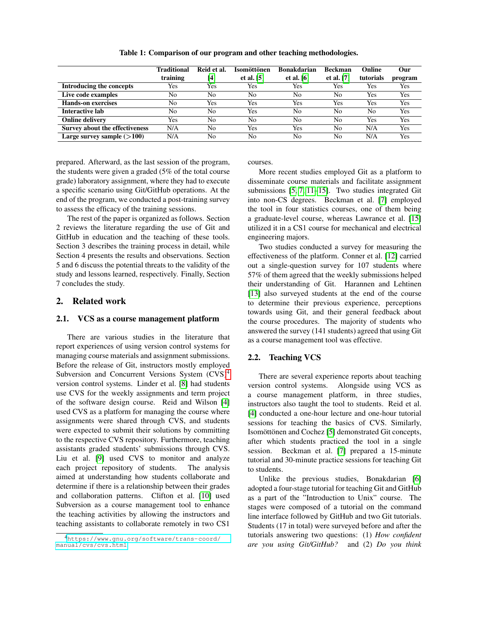<span id="page-1-1"></span>

|                                       | <b>Traditional</b><br>training | Reid et al.<br>[4] | Isomöttönen<br>et al. $[5]$ | <b>Bonakdarian</b><br>et al. $[6]$ | <b>Beckman</b><br>et al. $[7]$ | Online<br>tutorials | Our<br>program |
|---------------------------------------|--------------------------------|--------------------|-----------------------------|------------------------------------|--------------------------------|---------------------|----------------|
| Introducing the concepts              | Yes                            | Yes                | Yes                         | Yes                                | Yes                            | Yes                 | Yes            |
| Live code examples                    | No                             | No                 | No                          | No                                 | No                             | Yes                 | Yes            |
| <b>Hands-on exercises</b>             | No                             | Yes                | Yes                         | Yes                                | Yes                            | Yes                 | Yes            |
| Interactive lab                       | No                             | No                 | Yes                         | No                                 | No                             | No                  | Yes            |
| <b>Online delivery</b>                | Yes                            | No                 | No                          | No                                 | No                             | Yes                 | Yes            |
| <b>Survey about the effectiveness</b> | N/A                            | No                 | Yes                         | <b>Yes</b>                         | No                             | N/A                 | Yes            |
| Large survey sample $(>100)$          | N/A                            | No                 | No                          | No                                 | No                             | N/A                 | Yes            |

Table 1: Comparison of our program and other teaching methodologies.

prepared. Afterward, as the last session of the program, the students were given a graded (5% of the total course grade) laboratory assignment, where they had to execute a specific scenario using Git/GitHub operations. At the end of the program, we conducted a post-training survey to assess the efficacy of the training sessions.

The rest of the paper is organized as follows. Section 2 reviews the literature regarding the use of Git and GitHub in education and the teaching of these tools. Section 3 describes the training process in detail, while Section 4 presents the results and observations. Section 5 and 6 discuss the potential threats to the validity of the study and lessons learned, respectively. Finally, Section 7 concludes the study.

### 2. Related work

## 2.1. VCS as a course management platform

There are various studies in the literature that report experiences of using version control systems for managing course materials and assignment submissions. Before the release of Git, instructors mostly employed Subversion and Concurrent Versions System (CVS)<sup>[4](#page-1-0)</sup> version control systems. Linder et al. [\[8\]](#page-9-0) had students use CVS for the weekly assignments and term project of the software design course. Reid and Wilson [\[4\]](#page-8-3) used CVS as a platform for managing the course where assignments were shared through CVS, and students were expected to submit their solutions by committing to the respective CVS repository. Furthermore, teaching assistants graded students' submissions through CVS. Liu et al. [\[9\]](#page-9-1) used CVS to monitor and analyze each project repository of students. The analysis aimed at understanding how students collaborate and determine if there is a relationship between their grades and collaboration patterns. Clifton et al. [\[10\]](#page-9-2) used Subversion as a course management tool to enhance the teaching activities by allowing the instructors and teaching assistants to collaborate remotely in two CS1

courses.

More recent studies employed Git as a platform to disseminate course materials and facilitate assignment submissions [\[5,](#page-8-4) [7,](#page-8-6) [11–](#page-9-3)[15\]](#page-9-4). Two studies integrated Git into non-CS degrees. Beckman et al. [\[7\]](#page-8-6) employed the tool in four statistics courses, one of them being a graduate-level course, whereas Lawrance et al. [\[15\]](#page-9-4) utilized it in a CS1 course for mechanical and electrical engineering majors.

Two studies conducted a survey for measuring the effectiveness of the platform. Conner et al. [\[12\]](#page-9-5) carried out a single-question survey for 107 students where 57% of them agreed that the weekly submissions helped their understanding of Git. Harannen and Lehtinen [\[13\]](#page-9-6) also surveyed students at the end of the course to determine their previous experience, perceptions towards using Git, and their general feedback about the course procedures. The majority of students who answered the survey (141 students) agreed that using Git as a course management tool was effective.

#### 2.2. Teaching VCS

There are several experience reports about teaching version control systems. Alongside using VCS as a course management platform, in three studies, instructors also taught the tool to students. Reid et al. [\[4\]](#page-8-3) conducted a one-hour lecture and one-hour tutorial sessions for teaching the basics of CVS. Similarly, Isomöttönen and Cochez [\[5\]](#page-8-4) demonstrated Git concepts, after which students practiced the tool in a single session. Beckman et al. [\[7\]](#page-8-6) prepared a 15-minute tutorial and 30-minute practice sessions for teaching Git to students.

Unlike the previous studies, Bonakdarian [\[6\]](#page-8-5) adopted a four-stage tutorial for teaching Git and GitHub as a part of the "Introduction to Unix" course. The stages were composed of a tutorial on the command line interface followed by GitHub and two Git tutorials. Students (17 in total) were surveyed before and after the tutorials answering two questions: (1) *How confident are you using Git/GitHub?* and (2) *Do you think*

<span id="page-1-0"></span><sup>4</sup>[https://www.gnu.org/software/trans-coord/](https://www.gnu.org/software/trans-coord/manual/cvs/cvs.html) [manual/cvs/cvs.html](https://www.gnu.org/software/trans-coord/manual/cvs/cvs.html)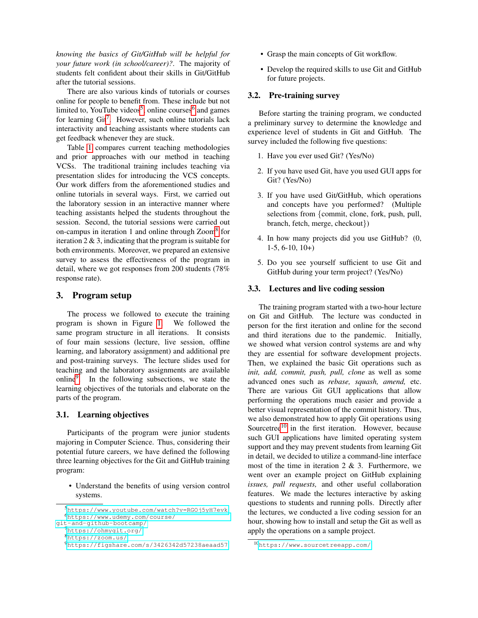*knowing the basics of Git/GitHub will be helpful for your future work (in school/career)?*. The majority of students felt confident about their skills in Git/GitHub after the tutorial sessions.

There are also various kinds of tutorials or courses online for people to benefit from. These include but not limited to, YouTube videos<sup>[5](#page-2-0)</sup>, online courses<sup>[6](#page-2-1)</sup> and games for learning Git<sup>[7](#page-2-2)</sup>. However, such online tutorials lack interactivity and teaching assistants where students can get feedback whenever they are stuck.

Table [1](#page-1-1) compares current teaching methodologies and prior approaches with our method in teaching VCSs. The traditional training includes teaching via presentation slides for introducing the VCS concepts. Our work differs from the aforementioned studies and online tutorials in several ways. First, we carried out the laboratory session in an interactive manner where teaching assistants helped the students throughout the session. Second, the tutorial sessions were carried out on-campus in iteration 1 and online through Zoom<sup>[8](#page-2-3)</sup> for iteration  $2 \& 3$ , indicating that the program is suitable for both environments. Moreover, we prepared an extensive survey to assess the effectiveness of the program in detail, where we got responses from 200 students (78% response rate).

### 3. Program setup

The process we followed to execute the training program is shown in Figure [1.](#page-3-0) We followed the same program structure in all iterations. It consists of four main sessions (lecture, live session, offline learning, and laboratory assignment) and additional pre and post-training surveys. The lecture slides used for teaching and the laboratory assignments are available online<sup>[9](#page-2-4)</sup>. In the following subsections, we state the learning objectives of the tutorials and elaborate on the parts of the program.

#### 3.1. Learning objectives

Participants of the program were junior students majoring in Computer Science. Thus, considering their potential future careers, we have defined the following three learning objectives for the Git and GitHub training program:

• Understand the benefits of using version control systems.

- Grasp the main concepts of Git workflow.
- Develop the required skills to use Git and GitHub for future projects.

### 3.2. Pre-training survey

Before starting the training program, we conducted a preliminary survey to determine the knowledge and experience level of students in Git and GitHub. The survey included the following five questions:

- 1. Have you ever used Git? (Yes/No)
- 2. If you have used Git, have you used GUI apps for Git? (Yes/No)
- 3. If you have used Git/GitHub, which operations and concepts have you performed? (Multiple selections from {commit, clone, fork, push, pull, branch, fetch, merge, checkout})
- 4. In how many projects did you use GitHub? (0, 1-5, 6-10, 10+)
- 5. Do you see yourself sufficient to use Git and GitHub during your term project? (Yes/No)

#### 3.3. Lectures and live coding session

The training program started with a two-hour lecture on Git and GitHub. The lecture was conducted in person for the first iteration and online for the second and third iterations due to the pandemic. Initially, we showed what version control systems are and why they are essential for software development projects. Then, we explained the basic Git operations such as *init, add, commit, push, pull, clone* as well as some advanced ones such as *rebase, squash, amend,* etc. There are various Git GUI applications that allow performing the operations much easier and provide a better visual representation of the commit history. Thus, we also demonstrated how to apply Git operations using Sourcetree $10$  in the first iteration. However, because such GUI applications have limited operating system support and they may prevent students from learning Git in detail, we decided to utilize a command-line interface most of the time in iteration 2 & 3. Furthermore, we went over an example project on GitHub explaining *issues, pull requests,* and other useful collaboration features. We made the lectures interactive by asking questions to students and running polls. Directly after the lectures, we conducted a live coding session for an hour, showing how to install and setup the Git as well as apply the operations on a sample project.

<span id="page-2-1"></span><span id="page-2-0"></span><sup>5</sup><https://www.youtube.com/watch?v=RGOj5yH7evk> <sup>6</sup>[https://www.udemy.com/course/](https://www.udemy.com/course/git-and-github-bootcamp/)

[git-and-github-bootcamp/](https://www.udemy.com/course/git-and-github-bootcamp/)

<span id="page-2-2"></span><sup>7</sup><https://ohmygit.org/> <sup>8</sup><https://zoom.us/>

<span id="page-2-4"></span><span id="page-2-3"></span><sup>9</sup><https://figshare.com/s/3426342d57238aeaad57>

<span id="page-2-5"></span><sup>10</sup><https://www.sourcetreeapp.com/>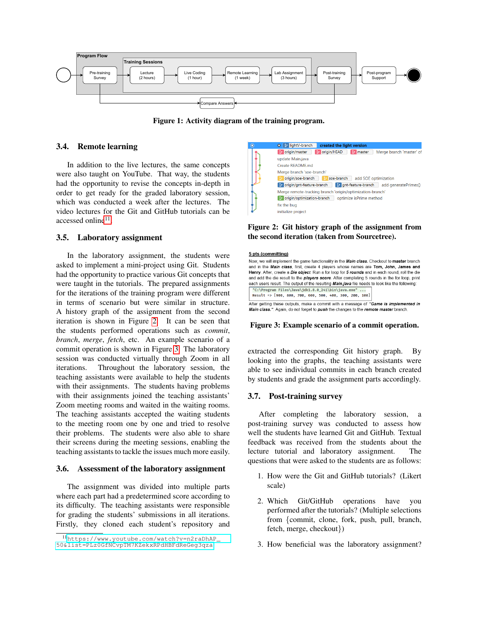<span id="page-3-0"></span>

Figure 1: Activity diagram of the training program.

### 3.4. Remote learning

In addition to the live lectures, the same concepts were also taught on YouTube. That way, the students had the opportunity to revise the concepts in-depth in order to get ready for the graded laboratory session, which was conducted a week after the lectures. The video lectures for the Git and GitHub tutorials can be accessed online<sup>[11](#page-3-1)</sup>.

#### 3.5. Laboratory assignment

In the laboratory assignment, the students were asked to implement a mini-project using Git. Students had the opportunity to practice various Git concepts that were taught in the tutorials. The prepared assignments for the iterations of the training program were different in terms of scenario but were similar in structure. A history graph of the assignment from the second iteration is shown in Figure [2.](#page-3-2) It can be seen that the students performed operations such as *commit*, *branch*, *merge*, *fetch*, etc. An example scenario of a commit operation is shown in Figure [3.](#page-3-3) The laboratory session was conducted virtually through Zoom in all iterations. Throughout the laboratory session, the teaching assistants were available to help the students with their assignments. The students having problems with their assignments joined the teaching assistants' Zoom meeting rooms and waited in the waiting rooms. The teaching assistants accepted the waiting students to the meeting room one by one and tried to resolve their problems. The students were also able to share their screens during the meeting sessions, enabling the teaching assistants to tackle the issues much more easily.

#### 3.6. Assessment of the laboratory assignment

The assignment was divided into multiple parts where each part had a predetermined score according to its difficulty. The teaching assistants were responsible for grading the students' submissions in all iterations. Firstly, they cloned each student's repository and

<span id="page-3-2"></span>

### Figure 2: Git history graph of the assignment from the second iteration (taken from Sourcetree).

#### <span id="page-3-3"></span>5 pts (committing)

Now we will implement the game functionality in the Main class. Checkout to master branch and in the Main class, first, create 4 players whose names are Tom, John, James and Henry. After, create a Die object. Run a for loop for 5 rounds and in each round, roll the die and add the die result to the *players score*. After completing 5 rounds in the for loop, print each users result. The output of the resulting Main.java file needs to look like the following: "C:\Program Files\Java\jdk1.8.0\_241\bin\java.exe" Result => [900, 800, 700, 600, 500, 400, 300, 200, 100]

After getting these outputs make a commit with a message of "Game is implemented in Main class.". Again, do not forget to push the changes to the remote master branch.

#### Figure 3: Example scenario of a commit operation.

extracted the corresponding Git history graph. By looking into the graphs, the teaching assistants were able to see individual commits in each branch created by students and grade the assignment parts accordingly.

#### 3.7. Post-training survey

After completing the laboratory session, a post-training survey was conducted to assess how well the students have learned Git and GitHub. Textual feedback was received from the students about the lecture tutorial and laboratory assignment. The questions that were asked to the students are as follows:

- 1. How were the Git and GitHub tutorials? (Likert scale)
- 2. Which Git/GitHub operations have you performed after the tutorials? (Multiple selections from {commit, clone, fork, push, pull, branch, fetch, merge, checkout})
- 3. How beneficial was the laboratory assignment?

<span id="page-3-1"></span><sup>11</sup>[https://www.youtube.com/watch?v=n2raDhAP\\_](https://www.youtube.com/watch?v=n2raDhAP_50&list=PLz0GfNCvpTM7KZekxRPdHBFdReGeg3qza) [50&list=PLz0GfNCvpTM7KZekxRPdHBFdReGeg3qza](https://www.youtube.com/watch?v=n2raDhAP_50&list=PLz0GfNCvpTM7KZekxRPdHBFdReGeg3qza)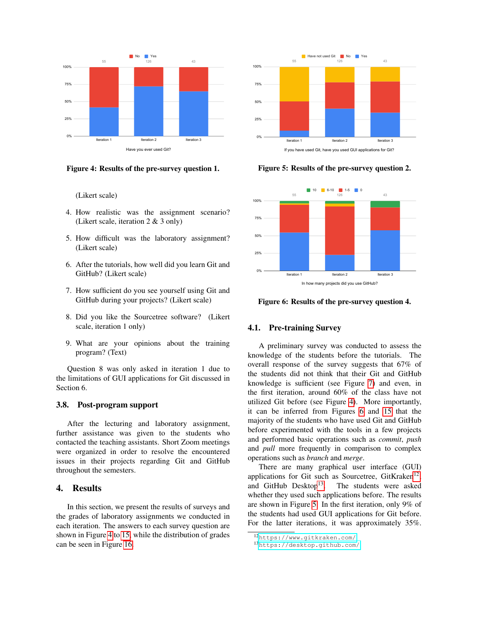<span id="page-4-0"></span>

Figure 4: Results of the pre-survey question 1.

(Likert scale)

- 4. How realistic was the assignment scenario? (Likert scale, iteration 2 & 3 only)
- 5. How difficult was the laboratory assignment? (Likert scale)
- 6. After the tutorials, how well did you learn Git and GitHub? (Likert scale)
- 7. How sufficient do you see yourself using Git and GitHub during your projects? (Likert scale)
- 8. Did you like the Sourcetree software? (Likert scale, iteration 1 only)
- 9. What are your opinions about the training program? (Text)

Question 8 was only asked in iteration 1 due to the limitations of GUI applications for Git discussed in Section 6.

#### 3.8. Post-program support

After the lecturing and laboratory assignment, further assistance was given to the students who contacted the teaching assistants. Short Zoom meetings were organized in order to resolve the encountered issues in their projects regarding Git and GitHub throughout the semesters.

### 4. Results

In this section, we present the results of surveys and the grades of laboratory assignments we conducted in each iteration. The answers to each survey question are shown in Figure [4](#page-4-0) to [15,](#page-7-0) while the distribution of grades can be seen in Figure [16.](#page-7-1)

<span id="page-4-4"></span>

Figure 5: Results of the pre-survey question 2.

<span id="page-4-1"></span>

Figure 6: Results of the pre-survey question 4.

#### 4.1. Pre-training Survey

A preliminary survey was conducted to assess the knowledge of the students before the tutorials. The overall response of the survey suggests that 67% of the students did not think that their Git and GitHub knowledge is sufficient (see Figure [7\)](#page-5-0) and even, in the first iteration, around 60% of the class have not utilized Git before (see Figure [4\)](#page-4-0). More importantly, it can be inferred from Figures [6](#page-4-1) and [15](#page-7-0) that the majority of the students who have used Git and GitHub before experimented with the tools in a few projects and performed basic operations such as *commit*, *push* and *pull* more frequently in comparison to complex operations such as *branch* and *merge*.

There are many graphical user interface (GUI) applications for Git such as Sourcetree, GitKraken<sup>[12](#page-4-2)</sup>, and GitHub Desktop<sup>[13](#page-4-3)</sup>. The students were asked whether they used such applications before. The results are shown in Figure [5.](#page-4-4) In the first iteration, only 9% of the students had used GUI applications for Git before. For the latter iterations, it was approximately 35%.

<span id="page-4-2"></span><sup>12</sup><https://www.gitkraken.com/>

<span id="page-4-3"></span><sup>13</sup><https://desktop.github.com/>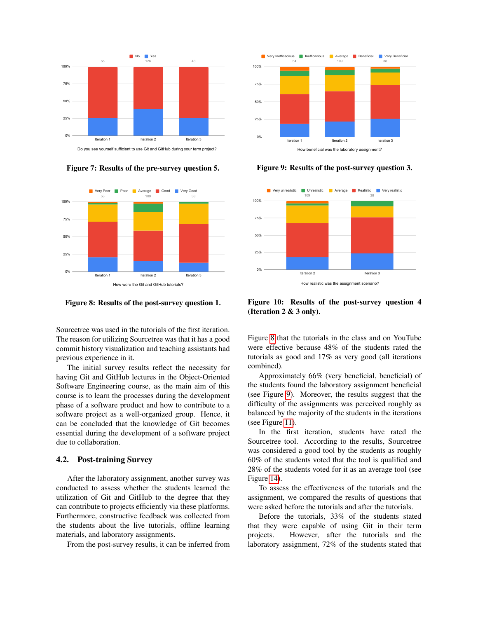<span id="page-5-0"></span>

Figure 7: Results of the pre-survey question 5.

<span id="page-5-1"></span>

Figure 8: Results of the post-survey question 1.

Sourcetree was used in the tutorials of the first iteration. The reason for utilizing Sourcetree was that it has a good commit history visualization and teaching assistants had previous experience in it.

The initial survey results reflect the necessity for having Git and GitHub lectures in the Object-Oriented Software Engineering course, as the main aim of this course is to learn the processes during the development phase of a software product and how to contribute to a software project as a well-organized group. Hence, it can be concluded that the knowledge of Git becomes essential during the development of a software project due to collaboration.

### 4.2. Post-training Survey

After the laboratory assignment, another survey was conducted to assess whether the students learned the utilization of Git and GitHub to the degree that they can contribute to projects efficiently via these platforms. Furthermore, constructive feedback was collected from the students about the live tutorials, offline learning materials, and laboratory assignments.

From the post-survey results, it can be inferred from

<span id="page-5-2"></span>

Figure 9: Results of the post-survey question 3.



Figure 10: Results of the post-survey question 4 (Iteration 2 & 3 only).

Figure [8](#page-5-1) that the tutorials in the class and on YouTube were effective because 48% of the students rated the tutorials as good and 17% as very good (all iterations combined).

Approximately 66% (very beneficial, beneficial) of the students found the laboratory assignment beneficial (see Figure [9\)](#page-5-2). Moreover, the results suggest that the difficulty of the assignments was perceived roughly as balanced by the majority of the students in the iterations (see Figure [11\)](#page-6-0).

In the first iteration, students have rated the Sourcetree tool. According to the results, Sourcetree was considered a good tool by the students as roughly 60% of the students voted that the tool is qualified and 28% of the students voted for it as an average tool (see Figure [14\)](#page-6-1).

To assess the effectiveness of the tutorials and the assignment, we compared the results of questions that were asked before the tutorials and after the tutorials.

Before the tutorials, 33% of the students stated that they were capable of using Git in their term projects. However, after the tutorials and the laboratory assignment, 72% of the students stated that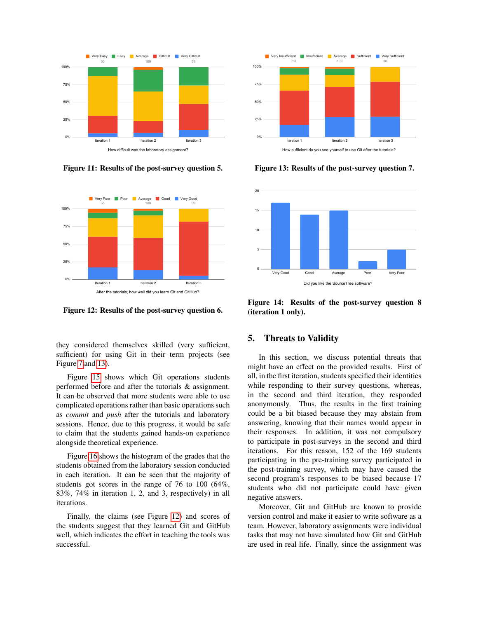<span id="page-6-0"></span>

Figure 11: Results of the post-survey question 5.

<span id="page-6-3"></span>

Figure 12: Results of the post-survey question 6.

they considered themselves skilled (very sufficient, sufficient) for using Git in their term projects (see Figure [7](#page-5-0) and [13\)](#page-6-2).

Figure [15](#page-7-0) shows which Git operations students performed before and after the tutorials & assignment. It can be observed that more students were able to use complicated operations rather than basic operations such as *commit* and *push* after the tutorials and laboratory sessions. Hence, due to this progress, it would be safe to claim that the students gained hands-on experience alongside theoretical experience.

Figure [16](#page-7-1) shows the histogram of the grades that the students obtained from the laboratory session conducted in each iteration. It can be seen that the majority of students got scores in the range of 76 to 100 (64%, 83%, 74% in iteration 1, 2, and 3, respectively) in all iterations.

Finally, the claims (see Figure [12\)](#page-6-3) and scores of the students suggest that they learned Git and GitHub well, which indicates the effort in teaching the tools was successful.

<span id="page-6-2"></span>

Figure 13: Results of the post-survey question 7.

<span id="page-6-1"></span>

Figure 14: Results of the post-survey question 8 (iteration 1 only).

# 5. Threats to Validity

In this section, we discuss potential threats that might have an effect on the provided results. First of all, in the first iteration, students specified their identities while responding to their survey questions, whereas, in the second and third iteration, they responded anonymously. Thus, the results in the first training could be a bit biased because they may abstain from answering, knowing that their names would appear in their responses. In addition, it was not compulsory to participate in post-surveys in the second and third iterations. For this reason, 152 of the 169 students participating in the pre-training survey participated in the post-training survey, which may have caused the second program's responses to be biased because 17 students who did not participate could have given negative answers.

Moreover, Git and GitHub are known to provide version control and make it easier to write software as a team. However, laboratory assignments were individual tasks that may not have simulated how Git and GitHub are used in real life. Finally, since the assignment was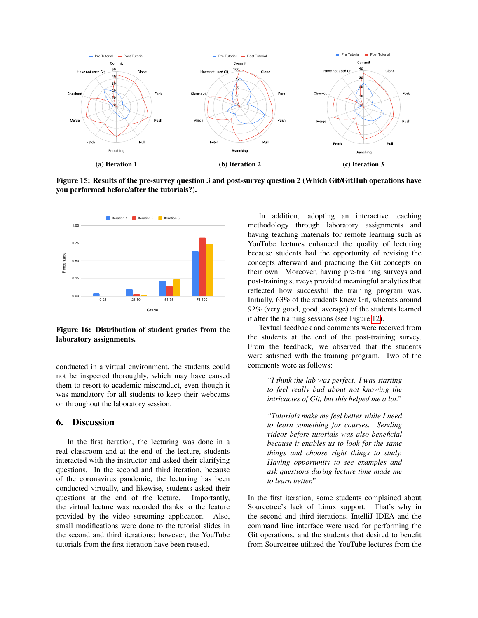<span id="page-7-0"></span>

Figure 15: Results of the pre-survey question 3 and post-survey question 2 (Which Git/GitHub operations have you performed before/after the tutorials?).

<span id="page-7-1"></span>

Figure 16: Distribution of student grades from the laboratory assignments.

conducted in a virtual environment, the students could not be inspected thoroughly, which may have caused them to resort to academic misconduct, even though it was mandatory for all students to keep their webcams on throughout the laboratory session.

### 6. Discussion

In the first iteration, the lecturing was done in a real classroom and at the end of the lecture, students interacted with the instructor and asked their clarifying questions. In the second and third iteration, because of the coronavirus pandemic, the lecturing has been conducted virtually, and likewise, students asked their questions at the end of the lecture. Importantly, the virtual lecture was recorded thanks to the feature provided by the video streaming application. Also, small modifications were done to the tutorial slides in the second and third iterations; however, the YouTube tutorials from the first iteration have been reused.

In addition, adopting an interactive teaching methodology through laboratory assignments and having teaching materials for remote learning such as YouTube lectures enhanced the quality of lecturing because students had the opportunity of revising the concepts afterward and practicing the Git concepts on their own. Moreover, having pre-training surveys and post-training surveys provided meaningful analytics that reflected how successful the training program was. Initially, 63% of the students knew Git, whereas around 92% (very good, good, average) of the students learned it after the training sessions (see Figure [12\)](#page-6-3).

Textual feedback and comments were received from the students at the end of the post-training survey. From the feedback, we observed that the students were satisfied with the training program. Two of the comments were as follows:

> *"I think the lab was perfect. I was starting to feel really bad about not knowing the intricacies of Git, but this helped me a lot."*

> *"Tutorials make me feel better while I need to learn something for courses. Sending videos before tutorials was also beneficial because it enables us to look for the same things and choose right things to study. Having opportunity to see examples and ask questions during lecture time made me to learn better."*

In the first iteration, some students complained about Sourcetree's lack of Linux support. That's why in the second and third iterations, IntelliJ IDEA and the command line interface were used for performing the Git operations, and the students that desired to benefit from Sourcetree utilized the YouTube lectures from the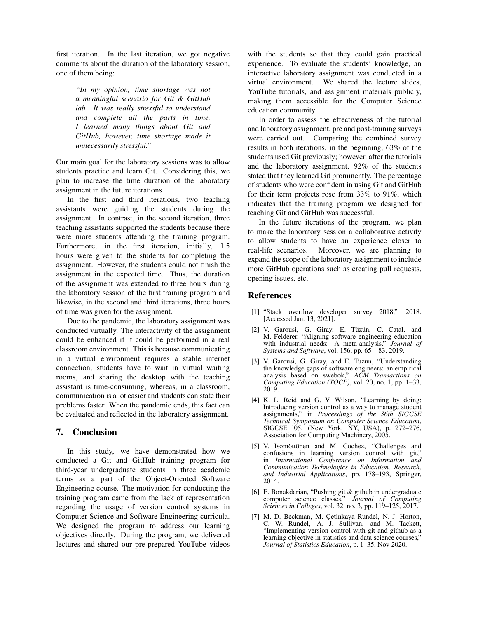first iteration. In the last iteration, we got negative comments about the duration of the laboratory session, one of them being:

> *"In my opinion, time shortage was not a meaningful scenario for Git & GitHub lab. It was really stressful to understand and complete all the parts in time. I learned many things about Git and GitHub, however, time shortage made it unnecessarily stressful."*

Our main goal for the laboratory sessions was to allow students practice and learn Git. Considering this, we plan to increase the time duration of the laboratory assignment in the future iterations.

In the first and third iterations, two teaching assistants were guiding the students during the assignment. In contrast, in the second iteration, three teaching assistants supported the students because there were more students attending the training program. Furthermore, in the first iteration, initially, 1.5 hours were given to the students for completing the assignment. However, the students could not finish the assignment in the expected time. Thus, the duration of the assignment was extended to three hours during the laboratory session of the first training program and likewise, in the second and third iterations, three hours of time was given for the assignment.

Due to the pandemic, the laboratory assignment was conducted virtually. The interactivity of the assignment could be enhanced if it could be performed in a real classroom environment. This is because communicating in a virtual environment requires a stable internet connection, students have to wait in virtual waiting rooms, and sharing the desktop with the teaching assistant is time-consuming, whereas, in a classroom, communication is a lot easier and students can state their problems faster. When the pandemic ends, this fact can be evaluated and reflected in the laboratory assignment.

## 7. Conclusion

In this study, we have demonstrated how we conducted a Git and GitHub training program for third-year undergraduate students in three academic terms as a part of the Object-Oriented Software Engineering course. The motivation for conducting the training program came from the lack of representation regarding the usage of version control systems in Computer Science and Software Engineering curricula. We designed the program to address our learning objectives directly. During the program, we delivered lectures and shared our pre-prepared YouTube videos with the students so that they could gain practical experience. To evaluate the students' knowledge, an interactive laboratory assignment was conducted in a virtual environment. We shared the lecture slides, YouTube tutorials, and assignment materials publicly, making them accessible for the Computer Science education community.

In order to assess the effectiveness of the tutorial and laboratory assignment, pre and post-training surveys were carried out. Comparing the combined survey results in both iterations, in the beginning, 63% of the students used Git previously; however, after the tutorials and the laboratory assignment, 92% of the students stated that they learned Git prominently. The percentage of students who were confident in using Git and GitHub for their term projects rose from 33% to 91%, which indicates that the training program we designed for teaching Git and GitHub was successful.

In the future iterations of the program, we plan to make the laboratory session a collaborative activity to allow students to have an experience closer to real-life scenarios. Moreover, we are planning to expand the scope of the laboratory assignment to include more GitHub operations such as creating pull requests, opening issues, etc.

### References

- <span id="page-8-0"></span>[1] "Stack overflow developer survey 2018," 2018. [Accessed Jan. 13, 2021].
- <span id="page-8-1"></span>[2] V. Garousi, G. Giray, E. Tüzün, C. Catal, and M. Felderer, "Aligning software engineering education with industrial needs: A meta-analysis," *Journal of Systems and Software*, vol. 156, pp. 65 – 83, 2019.
- <span id="page-8-2"></span>[3] V. Garousi, G. Giray, and E. Tuzun, "Understanding the knowledge gaps of software engineers: an empirical analysis based on swebok," *ACM Transactions on Computing Education (TOCE)*, vol. 20, no. 1, pp. 1–33, 2019.
- <span id="page-8-3"></span>[4] K. L. Reid and G. V. Wilson, "Learning by doing: Introducing version control as a way to manage student assignments," in *Proceedings of the 36th SIGCSE Technical Symposium on Computer Science Education*, SIGCSE '05, (New York, NY, USA), p. 272–276, Association for Computing Machinery, 2005.
- <span id="page-8-4"></span>[5] V. Isomöttönen and M. Cochez, "Challenges and confusions in learning version control with git," in *International Conference on Information and Communication Technologies in Education, Research, and Industrial Applications*, pp. 178–193, Springer, 2014.
- <span id="page-8-5"></span>[6] E. Bonakdarian, "Pushing git & github in undergraduate computer science classes," *Journal of Computing Sciences in Colleges*, vol. 32, no. 3, pp. 119–125, 2017.
- <span id="page-8-6"></span>[7] M. D. Beckman, M. Çetinkaya Rundel, N. J. Horton, C. W. Rundel, A. J. Sullivan, and M. Tackett, "Implementing version control with git and github as a learning objective in statistics and data science courses," *Journal of Statistics Education*, p. 1–35, Nov 2020.